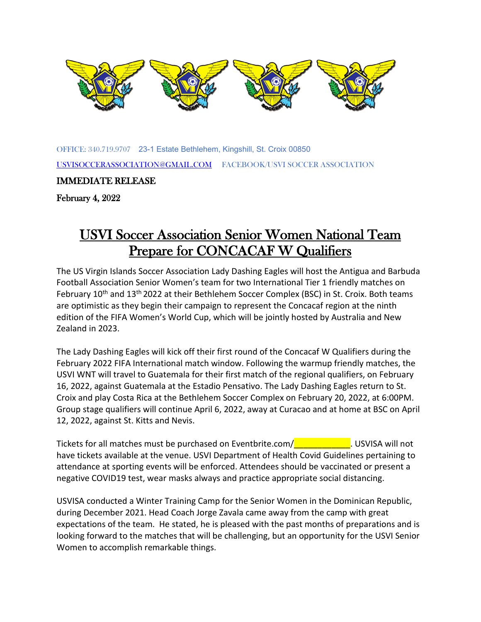

OF[FICE: 340](https://creativecommons.org/licenses/by-sa/3.0/).719.9707 23-[1 Estate](https://creativecommons.org/licenses/by-sa/3.0/) Bethlehem, Kin[gshill, St.](https://creativecommons.org/licenses/by-sa/3.0/) Croix 00850 [USVISOCCERASSOCIATION@GMAIL.COM](mailto:USVISOCCERASSOCIATION@GMAIL.COM) FACEBOOK/USVI SOCCER ASSOCIATION

IMMEDIATE RELEASE

February 4, 2022

## USVI Soccer Association Senior Women National Team Prepare for CONCACAF W Qualifiers

The US Virgin Islands Soccer Association Lady Dashing Eagles will host the Antigua and Barbuda Football Association Senior Women's team for two International Tier 1 friendly matches on February 10<sup>th</sup> and 13<sup>th</sup> 2022 at their Bethlehem Soccer Complex (BSC) in St. Croix. Both teams are optimistic as they begin their campaign to represent the Concacaf region at the ninth edition of the FIFA Women's World Cup, which will be jointly hosted by Australia and New Zealand in 2023.

The Lady Dashing Eagles will kick off their first round of the Concacaf W Qualifiers during the February 2022 FIFA International match window. Following the warmup friendly matches, the USVI WNT will travel to Guatemala for their first match of the regional qualifiers, on February 16, 2022, against Guatemala at the Estadio Pensativo. The Lady Dashing Eagles return to St. Croix and play Costa Rica at the Bethlehem Soccer Complex on February 20, 2022, at 6:00PM. Group stage qualifiers will continue April 6, 2022, away at Curacao and at home at BSC on April 12, 2022, against St. Kitts and Nevis.

Tickets for all matches must be purchased on Eventbrite.com/**University 10. USVISA will not** have tickets available at the venue. USVI Department of Health Covid Guidelines pertaining to attendance at sporting events will be enforced. Attendees should be vaccinated or present a negative COVID19 test, wear masks always and practice appropriate social distancing.

USVISA conducted a Winter Training Camp for the Senior Women in the Dominican Republic, during December 2021. Head Coach Jorge Zavala came away from the camp with great expectations of the team. He stated, he is pleased with the past months of preparations and is looking forward to the matches that will be challenging, but an opportunity for the USVI Senior Women to accomplish remarkable things.